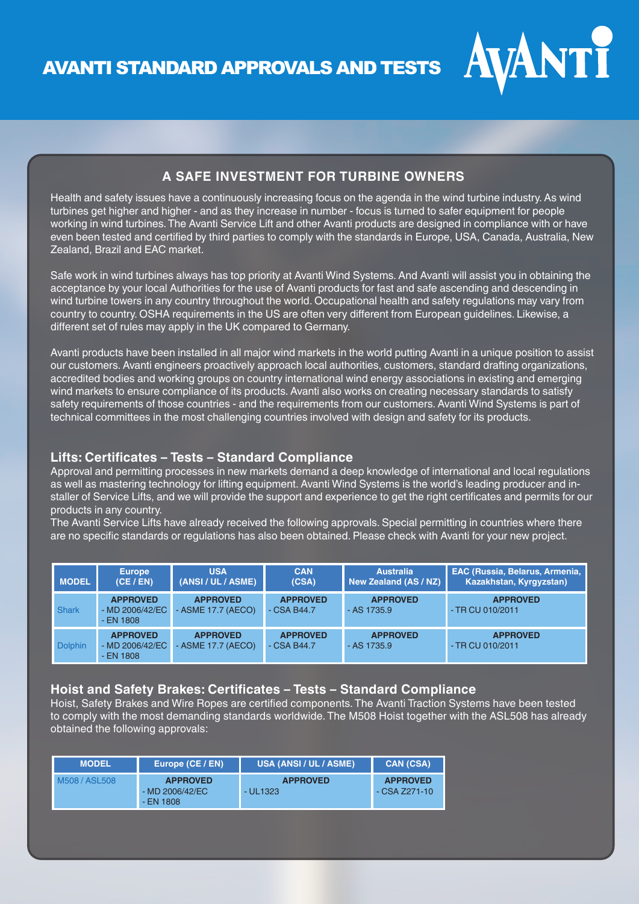AVANTI STANDARD APPROVALS AND TESTS



# **A SAFE INVESTMENT FOR TURBINE OWNERS**

Health and safety issues have a continuously increasing focus on the agenda in the wind turbine industry. As wind turbines get higher and higher - and as they increase in number - focus is turned to safer equipment for people working in wind turbines. The Avanti Service Lift and other Avanti products are designed in compliance with or have even been tested and certified by third parties to comply with the standards in Europe, USA, Canada, Australia, New Zealand, Brazil and EAC market.

Safe work in wind turbines always has top priority at Avanti Wind Systems. And Avanti will assist you in obtaining the acceptance by your local Authorities for the use of Avanti products for fast and safe ascending and descending in wind turbine towers in any country throughout the world. Occupational health and safety regulations may vary from country to country. OSHA requirements in the US are often very different from European guidelines. Likewise, a different set of rules may apply in the UK compared to Germany.

Avanti products have been installed in all major wind markets in the world putting Avanti in a unique position to assist our customers. Avanti engineers proactively approach local authorities, customers, standard drafting organizations, accredited bodies and working groups on country international wind energy associations in existing and emerging wind markets to ensure compliance of its products. Avanti also works on creating necessary standards to satisfy safety requirements of those countries - and the requirements from our customers. Avanti Wind Systems is part of technical committees in the most challenging countries involved with design and safety for its products.

### **Lifts: Certificates – Tests – Standard Compliance**

Approval and permitting processes in new markets demand a deep knowledge of international and local regulations as well as mastering technology for lifting equipment. Avanti Wind Systems is the world's leading producer and installer of Service Lifts, and we will provide the support and experience to get the right certificates and permits for our products in any country.

The Avanti Service Lifts have already received the following approvals. Special permitting in countries where there are no specific standards or regulations has also been obtained. Please check with Avanti for your new project.

| <b>MODEL</b>   | <b>Europe</b><br>(CE / EN)                       | <b>USA</b><br>(ANSI / UL / ASME)      | <b>CAN</b><br>(CSA)             | <b>Australia</b><br>New Zealand (AS / NZ) | <b>EAC (Russia, Belarus, Armenia,</b><br>Kazakhstan, Kyrgyzstan) |
|----------------|--------------------------------------------------|---------------------------------------|---------------------------------|-------------------------------------------|------------------------------------------------------------------|
| <b>Shark</b>   | <b>APPROVED</b><br>- MD 2006/42/EC<br>$-EN$ 1808 | <b>APPROVED</b><br>- ASME 17.7 (AECO) | <b>APPROVED</b><br>$-CSA B44.7$ | <b>APPROVED</b><br>$-$ AS 1735.9          | <b>APPROVED</b><br>- TR CU 010/2011                              |
| <b>Dolphin</b> | <b>APPROVED</b><br>- MD 2006/42/EC<br>$-EN$ 1808 | <b>APPROVED</b><br>- ASME 17.7 (AECO) | <b>APPROVED</b><br>$-CSA B44.7$ | <b>APPROVED</b><br>$-$ AS 1735.9          | <b>APPROVED</b><br>$-$ TR CU 010/2011                            |

## **Hoist and Safety Brakes: Certificates – Tests – Standard Compliance**

Hoist, Safety Brakes and Wire Ropes are certified components. The Avanti Traction Systems have been tested to comply with the most demanding standards worldwide. The M508 Hoist together with the ASL508 has already obtained the following approvals:

| <b>MODEL</b>   | Europe (CE / <u>EN)</u>                          | <b>IUSA (ANSI / UL / ASME)</b> ' | <b>CAN (CSA)</b>                    |
|----------------|--------------------------------------------------|----------------------------------|-------------------------------------|
| M508 / ASI 508 | <b>APPROVED</b><br>$-MD 2006/42/EC$<br>- EN 1808 | <b>APPROVED</b><br>- UL1323      | <b>APPROVED</b><br>$-CSA$ $Z271-10$ |